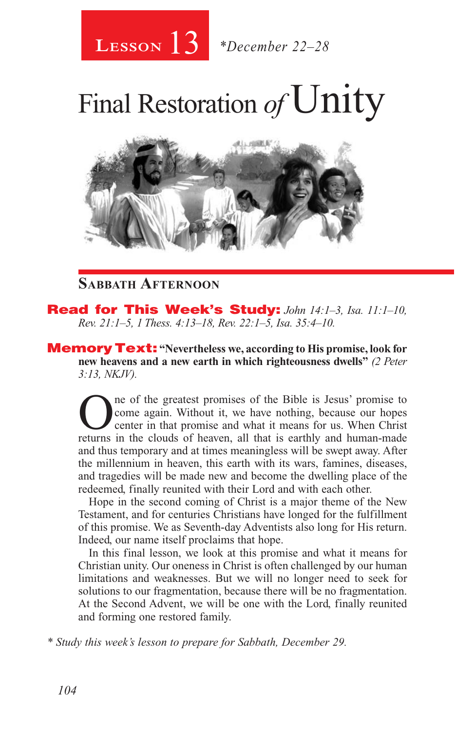# 13 **Lesson** *\*December 22–28*

# Final Restoration of Unity



## **Sabbath Afternoon**

Read for This Week's Study: *John 14:1–3, Isa. 11:1–10, Rev. 21:1–5, 1 Thess. 4:13–18, Rev. 22:1–5, Isa. 35:4–10.*

**Memory Text:** "Nevertheless we, according to His promise, look for **new heavens and a new earth in which righteousness dwells"** *(2 Peter 3:13, NKJV).* 

One of the greatest promises of the Bible is Jesus' promise to come again. Without it, we have nothing, because our hopes center in that promise and what it means for us. When Christ returns in the clouds of heaven all tha come again. Without it, we have nothing, because our hopes returns in the clouds of heaven, all that is earthly and human-made and thus temporary and at times meaningless will be swept away. After the millennium in heaven, this earth with its wars, famines, diseases, and tragedies will be made new and become the dwelling place of the redeemed, finally reunited with their Lord and with each other.

Hope in the second coming of Christ is a major theme of the New Testament, and for centuries Christians have longed for the fulfillment of this promise. We as Seventh-day Adventists also long for His return. Indeed, our name itself proclaims that hope.

In this final lesson, we look at this promise and what it means for Christian unity. Our oneness in Christ is often challenged by our human limitations and weaknesses. But we will no longer need to seek for solutions to our fragmentation, because there will be no fragmentation. At the Second Advent, we will be one with the Lord, finally reunited and forming one restored family.

*\* Study this week's lesson to prepare for Sabbath, December 29.*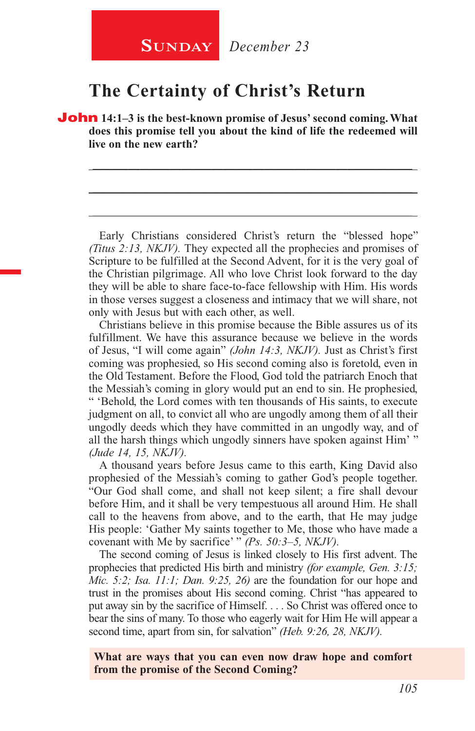## **The Certainty of Christ's Return**

**John** 14:1–3 is the best-known promise of Jesus' second coming. What **does this promise tell you about the kind of life the redeemed will live on the new earth?** 

\_\_\_\_\_\_\_\_\_\_\_\_\_\_\_\_\_\_\_\_\_\_\_\_\_\_\_\_\_\_\_\_\_\_\_\_\_\_\_\_\_\_\_\_\_\_\_\_\_\_\_\_\_\_

\_\_\_\_\_\_\_\_\_\_\_\_\_\_\_\_\_\_\_\_\_\_\_\_\_\_\_\_\_\_\_\_\_\_\_\_\_\_\_\_\_\_\_\_\_\_\_\_\_\_\_\_\_\_

\_\_\_\_\_\_\_\_\_\_\_\_\_\_\_\_\_\_\_\_\_\_\_\_\_\_\_\_\_\_\_\_\_\_\_\_\_\_\_\_\_\_\_\_\_\_\_\_\_\_\_\_\_\_

Early Christians considered Christ's return the "blessed hope" *(Titus 2:13, NKJV).* They expected all the prophecies and promises of Scripture to be fulfilled at the Second Advent, for it is the very goal of the Christian pilgrimage. All who love Christ look forward to the day they will be able to share face-to-face fellowship with Him. His words in those verses suggest a closeness and intimacy that we will share, not only with Jesus but with each other, as well.

Christians believe in this promise because the Bible assures us of its fulfillment. We have this assurance because we believe in the words of Jesus, "I will come again" *(John 14:3, NKJV).* Just as Christ's first coming was prophesied, so His second coming also is foretold, even in the Old Testament. Before the Flood, God told the patriarch Enoch that the Messiah's coming in glory would put an end to sin. He prophesied, " 'Behold, the Lord comes with ten thousands of His saints, to execute judgment on all, to convict all who are ungodly among them of all their ungodly deeds which they have committed in an ungodly way, and of all the harsh things which ungodly sinners have spoken against Him' " *(Jude 14, 15, NKJV).*

A thousand years before Jesus came to this earth, King David also prophesied of the Messiah's coming to gather God's people together. "Our God shall come, and shall not keep silent; a fire shall devour before Him, and it shall be very tempestuous all around Him. He shall call to the heavens from above, and to the earth, that He may judge His people: 'Gather My saints together to Me, those who have made a covenant with Me by sacrifice' " *(Ps. 50:3–5, NKJV).*

The second coming of Jesus is linked closely to His first advent. The prophecies that predicted His birth and ministry *(for example, Gen. 3:15; Mic. 5:2; Isa. 11:1; Dan. 9:25, 26)* are the foundation for our hope and trust in the promises about His second coming. Christ "has appeared to put away sin by the sacrifice of Himself. . . . So Christ was offered once to bear the sins of many. To those who eagerly wait for Him He will appear a second time, apart from sin, for salvation" *(Heb. 9:26, 28, NKJV).*

**What are ways that you can even now draw hope and comfort from the promise of the Second Coming?**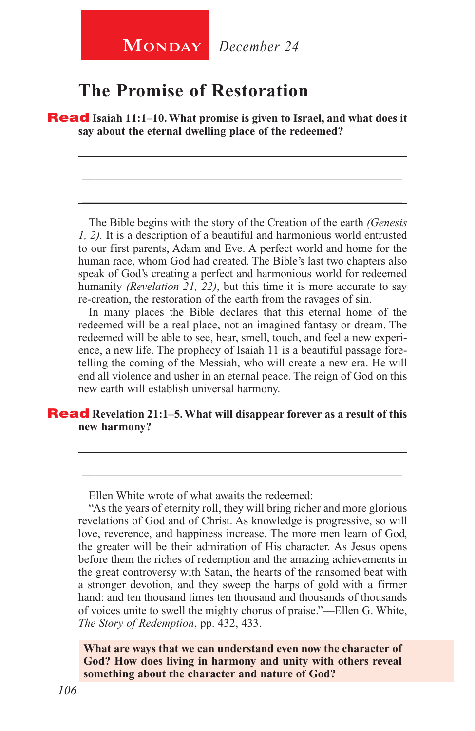## **The Promise of Restoration**

Read **Isaiah 11:1–10. What promise is given to Israel, and what does it say about the eternal dwelling place of the redeemed?**

\_\_\_\_\_\_\_\_\_\_\_\_\_\_\_\_\_\_\_\_\_\_\_\_\_\_\_\_\_\_\_\_\_\_\_\_\_\_\_\_\_\_\_\_\_\_\_\_\_\_\_\_\_\_

\_\_\_\_\_\_\_\_\_\_\_\_\_\_\_\_\_\_\_\_\_\_\_\_\_\_\_\_\_\_\_\_\_\_\_\_\_\_\_\_\_\_\_\_\_\_\_\_\_\_\_\_\_\_

\_\_\_\_\_\_\_\_\_\_\_\_\_\_\_\_\_\_\_\_\_\_\_\_\_\_\_\_\_\_\_\_\_\_\_\_\_\_\_\_\_\_\_\_\_\_\_\_\_\_\_\_\_\_

The Bible begins with the story of the Creation of the earth *(Genesis 1, 2).* It is a description of a beautiful and harmonious world entrusted to our first parents, Adam and Eve. A perfect world and home for the human race, whom God had created. The Bible's last two chapters also speak of God's creating a perfect and harmonious world for redeemed humanity *(Revelation 21, 22)*, but this time it is more accurate to say re-creation, the restoration of the earth from the ravages of sin.

In many places the Bible declares that this eternal home of the redeemed will be a real place, not an imagined fantasy or dream. The redeemed will be able to see, hear, smell, touch, and feel a new experience, a new life. The prophecy of Isaiah 11 is a beautiful passage foretelling the coming of the Messiah, who will create a new era. He will end all violence and usher in an eternal peace. The reign of God on this new earth will establish universal harmony.

\_\_\_\_\_\_\_\_\_\_\_\_\_\_\_\_\_\_\_\_\_\_\_\_\_\_\_\_\_\_\_\_\_\_\_\_\_\_\_\_\_\_\_\_\_\_\_\_\_\_\_\_\_\_

\_\_\_\_\_\_\_\_\_\_\_\_\_\_\_\_\_\_\_\_\_\_\_\_\_\_\_\_\_\_\_\_\_\_\_\_\_\_\_\_\_\_\_\_\_\_\_\_\_\_\_\_\_\_

## **Read** Revelation 21:1–5. What will disappear forever as a result of this **new harmony?**

Ellen White wrote of what awaits the redeemed:

**What are ways that we can understand even now the character of God? How does living in harmony and unity with others reveal something about the character and nature of God?**

<sup>&</sup>quot;As the years of eternity roll, they will bring richer and more glorious revelations of God and of Christ. As knowledge is progressive, so will love, reverence, and happiness increase. The more men learn of God, the greater will be their admiration of His character. As Jesus opens before them the riches of redemption and the amazing achievements in the great controversy with Satan, the hearts of the ransomed beat with a stronger devotion, and they sweep the harps of gold with a firmer hand: and ten thousand times ten thousand and thousands of thousands of voices unite to swell the mighty chorus of praise."—Ellen G. White, *The Story of Redemption*, pp. 432, 433.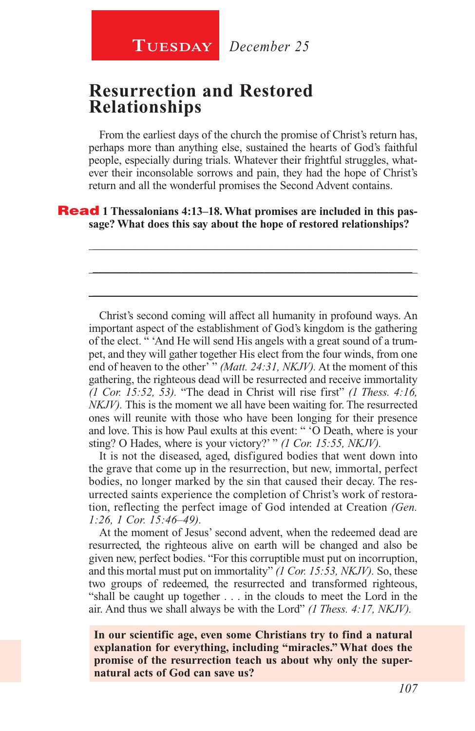## **Resurrection and Restored Relationships**

From the earliest days of the church the promise of Christ's return has, perhaps more than anything else, sustained the hearts of God's faithful people, especially during trials. Whatever their frightful struggles, whatever their inconsolable sorrows and pain, they had the hope of Christ's return and all the wonderful promises the Second Advent contains.

\_\_\_\_\_\_\_\_\_\_\_\_\_\_\_\_\_\_\_\_\_\_\_\_\_\_\_\_\_\_\_\_\_\_\_\_\_\_\_\_\_\_\_\_\_\_\_\_\_\_\_\_\_\_

\_\_\_\_\_\_\_\_\_\_\_\_\_\_\_\_\_\_\_\_\_\_\_\_\_\_\_\_\_\_\_\_\_\_\_\_\_\_\_\_\_\_\_\_\_\_\_\_\_\_\_\_\_\_

\_\_\_\_\_\_\_\_\_\_\_\_\_\_\_\_\_\_\_\_\_\_\_\_\_\_\_\_\_\_\_\_\_\_\_\_\_\_\_\_\_\_\_\_\_\_\_\_\_\_\_\_\_\_

**Read** 1 Thessalonians 4:13–18. What promises are included in this pas**sage? What does this say about the hope of restored relationships?**

Christ's second coming will affect all humanity in profound ways. An important aspect of the establishment of God's kingdom is the gathering of the elect. " 'And He will send His angels with a great sound of a trumpet, and they will gather together His elect from the four winds, from one end of heaven to the other' " *(Matt. 24:31, NKJV).* At the moment of this gathering, the righteous dead will be resurrected and receive immortality *(1 Cor. 15:52, 53).* "The dead in Christ will rise first" *(1 Thess. 4:16, NKJV).* This is the moment we all have been waiting for. The resurrected ones will reunite with those who have been longing for their presence and love. This is how Paul exults at this event: " 'O Death, where is your sting? O Hades, where is your victory?' " *(1 Cor. 15:55, NKJV).*

It is not the diseased, aged, disfigured bodies that went down into the grave that come up in the resurrection, but new, immortal, perfect bodies, no longer marked by the sin that caused their decay. The resurrected saints experience the completion of Christ's work of restoration, reflecting the perfect image of God intended at Creation *(Gen. 1:26, 1 Cor. 15:46–49).*

At the moment of Jesus' second advent, when the redeemed dead are resurrected, the righteous alive on earth will be changed and also be given new, perfect bodies. "For this corruptible must put on incorruption, and this mortal must put on immortality" *(1 Cor. 15:53, NKJV).* So, these two groups of redeemed, the resurrected and transformed righteous, "shall be caught up together . . . in the clouds to meet the Lord in the air. And thus we shall always be with the Lord" *(1 Thess. 4:17, NKJV).*

**In our scientific age, even some Christians try to find a natural explanation for everything, including "miracles." What does the promise of the resurrection teach us about why only the supernatural acts of God can save us?**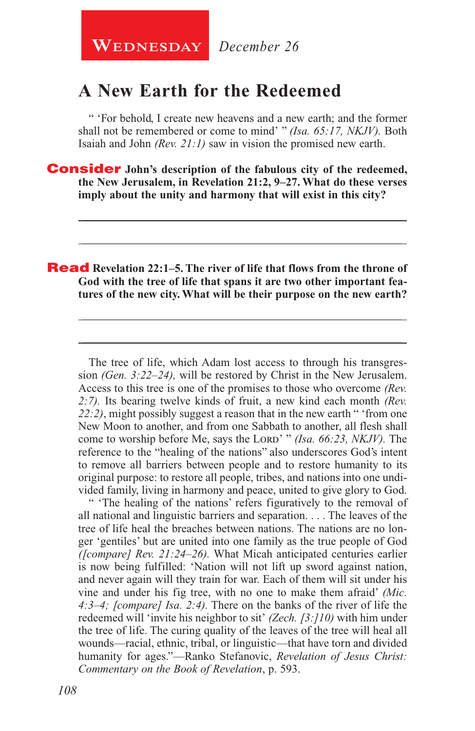**WEDNESDAY** December 26

## **A New Earth for the Redeemed**

" 'For behold, I create new heavens and a new earth; and the former shall not be remembered or come to mind' " *(Isa. 65:17, NKJV).* Both Isaiah and John *(Rev. 21:1)* saw in vision the promised new earth.

\_\_\_\_\_\_\_\_\_\_\_\_\_\_\_\_\_\_\_\_\_\_\_\_\_\_\_\_\_\_\_\_\_\_\_\_\_\_\_\_\_\_\_\_\_\_\_\_\_\_\_\_\_\_

\_\_\_\_\_\_\_\_\_\_\_\_\_\_\_\_\_\_\_\_\_\_\_\_\_\_\_\_\_\_\_\_\_\_\_\_\_\_\_\_\_\_\_\_\_\_\_\_\_\_\_\_\_\_

\_\_\_\_\_\_\_\_\_\_\_\_\_\_\_\_\_\_\_\_\_\_\_\_\_\_\_\_\_\_\_\_\_\_\_\_\_\_\_\_\_\_\_\_\_\_\_\_\_\_\_\_\_\_

\_\_\_\_\_\_\_\_\_\_\_\_\_\_\_\_\_\_\_\_\_\_\_\_\_\_\_\_\_\_\_\_\_\_\_\_\_\_\_\_\_\_\_\_\_\_\_\_\_\_\_\_\_\_

Consider **John's description of the fabulous city of the redeemed, the New Jerusalem, in Revelation 21:2, 9–27. What do these verses imply about the unity and harmony that will exist in this city?**

## Read **Revelation 22:1–5. The river of life that flows from the throne of God with the tree of life that spans it are two other important features of the new city. What will be their purpose on the new earth?**

The tree of life, which Adam lost access to through his transgression *(Gen. 3:22–24),* will be restored by Christ in the New Jerusalem. Access to this tree is one of the promises to those who overcome *(Rev. 2:7).* Its bearing twelve kinds of fruit, a new kind each month *(Rev. 22:2)*, might possibly suggest a reason that in the new earth " 'from one New Moon to another, and from one Sabbath to another, all flesh shall come to worship before Me, says the Lord' "*(Isa. 66:23, NKJV)*. The reference to the "healing of the nations" also underscores God's intent to remove all barriers between people and to restore humanity to its original purpose: to restore all people, tribes, and nations into one undivided family, living in harmony and peace, united to give glory to God.

" 'The healing of the nations' refers figuratively to the removal of all national and linguistic barriers and separation. . . . The leaves of the tree of life heal the breaches between nations. The nations are no longer 'gentiles' but are united into one family as the true people of God *([compare] Rev. 21:24–26).* What Micah anticipated centuries earlier is now being fulfilled: 'Nation will not lift up sword against nation, and never again will they train for war. Each of them will sit under his vine and under his fig tree, with no one to make them afraid' *(Mic. 4:3–4; [compare] Isa. 2:4).* There on the banks of the river of life the redeemed will 'invite his neighbor to sit' *(Zech. [3:]10)* with him under the tree of life. The curing quality of the leaves of the tree will heal all wounds—racial, ethnic, tribal, or linguistic—that have torn and divided humanity for ages."—Ranko Stefanovic, *Revelation of Jesus Christ: Commentary on the Book of Revelation*, p. 593.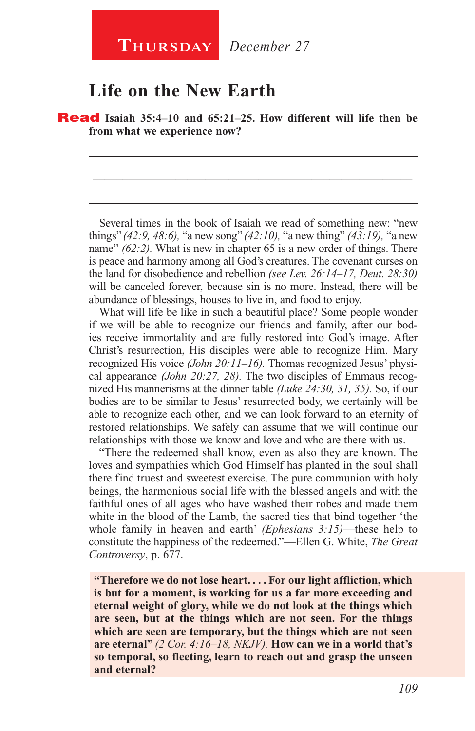## **Life on the New Earth**

Read **Isaiah 35:4–10 and 65:21–25. How different will life then be from what we experience now?** 

\_\_\_\_\_\_\_\_\_\_\_\_\_\_\_\_\_\_\_\_\_\_\_\_\_\_\_\_\_\_\_\_\_\_\_\_\_\_\_\_\_\_\_\_\_\_\_\_\_\_\_\_\_\_

\_\_\_\_\_\_\_\_\_\_\_\_\_\_\_\_\_\_\_\_\_\_\_\_\_\_\_\_\_\_\_\_\_\_\_\_\_\_\_\_\_\_\_\_\_\_\_\_\_\_\_\_\_\_

\_\_\_\_\_\_\_\_\_\_\_\_\_\_\_\_\_\_\_\_\_\_\_\_\_\_\_\_\_\_\_\_\_\_\_\_\_\_\_\_\_\_\_\_\_\_\_\_\_\_\_\_\_\_

Several times in the book of Isaiah we read of something new: "new things" *(42:9, 48:6),* "a new song" *(42:10),* "a new thing" *(43:19),* "a new name" *(62:2).* What is new in chapter 65 is a new order of things. There is peace and harmony among all God's creatures. The covenant curses on the land for disobedience and rebellion *(see Lev. 26:14–17, Deut. 28:30)*  will be canceled forever, because sin is no more. Instead, there will be abundance of blessings, houses to live in, and food to enjoy.

What will life be like in such a beautiful place? Some people wonder if we will be able to recognize our friends and family, after our bodies receive immortality and are fully restored into God's image. After Christ's resurrection, His disciples were able to recognize Him. Mary recognized His voice *(John 20:11–16).* Thomas recognized Jesus' physical appearance *(John 20:27, 28).* The two disciples of Emmaus recognized His mannerisms at the dinner table *(Luke 24:30, 31, 35).* So, if our bodies are to be similar to Jesus' resurrected body, we certainly will be able to recognize each other, and we can look forward to an eternity of restored relationships. We safely can assume that we will continue our relationships with those we know and love and who are there with us.

"There the redeemed shall know, even as also they are known. The loves and sympathies which God Himself has planted in the soul shall there find truest and sweetest exercise. The pure communion with holy beings, the harmonious social life with the blessed angels and with the faithful ones of all ages who have washed their robes and made them white in the blood of the Lamb, the sacred ties that bind together 'the whole family in heaven and earth' *(Ephesians 3:15)*—these help to constitute the happiness of the redeemed."—Ellen G. White, *The Great Controversy*, p. 677.

**"Therefore we do not lose heart. . . . For our light affliction, which is but for a moment, is working for us a far more exceeding and eternal weight of glory, while we do not look at the things which are seen, but at the things which are not seen. For the things which are seen are temporary, but the things which are not seen are eternal"** *(2 Cor. 4:16–18, NKJV).* **How can we in a world that's so temporal, so fleeting, learn to reach out and grasp the unseen and eternal?**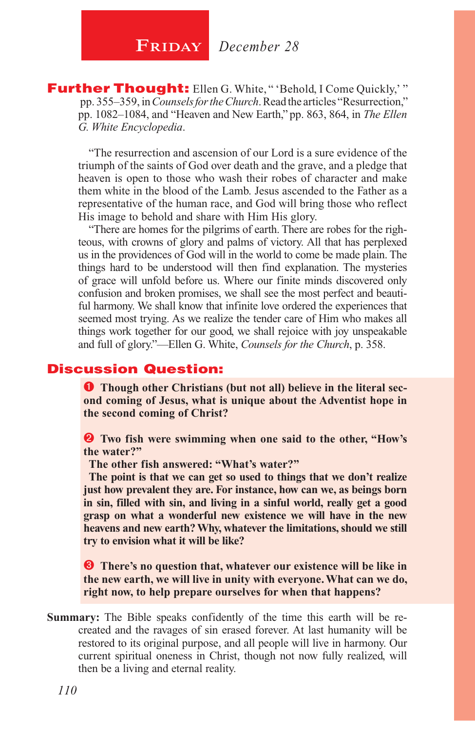**Further Thought:** Ellen G. White, "'Behold, I Come Quickly,'" pp. 355–359, in *Counsels for the Church*. Read the articles "Resurrection," pp. 1082–1084, and "Heaven and New Earth," pp. 863, 864, in *The Ellen G. White Encyclopedia*.

"The resurrection and ascension of our Lord is a sure evidence of the triumph of the saints of God over death and the grave, and a pledge that heaven is open to those who wash their robes of character and make them white in the blood of the Lamb. Jesus ascended to the Father as a representative of the human race, and God will bring those who reflect His image to behold and share with Him His glory.

"There are homes for the pilgrims of earth. There are robes for the righteous, with crowns of glory and palms of victory. All that has perplexed us in the providences of God will in the world to come be made plain. The things hard to be understood will then find explanation. The mysteries of grace will unfold before us. Where our finite minds discovered only confusion and broken promises, we shall see the most perfect and beautiful harmony. We shall know that infinite love ordered the experiences that seemed most trying. As we realize the tender care of Him who makes all things work together for our good, we shall rejoice with joy unspeakable and full of glory."—Ellen G. White, *Counsels for the Church*, p. 358.

## Discussion Question:

**Though other Christians (but not all) believe in the literal second coming of Jesus, what is unique about the Adventist hope in the second coming of Christ?**

 **Two fish were swimming when one said to the other, "How's the water?"** 

**The other fish answered: "What's water?"** 

**The point is that we can get so used to things that we don't realize just how prevalent they are. For instance, how can we, as beings born in sin, filled with sin, and living in a sinful world, really get a good grasp on what a wonderful new existence we will have in the new heavens and new earth? Why, whatever the limitations, should we still try to envision what it will be like?**

 **There's no question that, whatever our existence will be like in the new earth, we will live in unity with everyone. What can we do, right now, to help prepare ourselves for when that happens?**

**Summary:** The Bible speaks confidently of the time this earth will be recreated and the ravages of sin erased forever. At last humanity will be restored to its original purpose, and all people will live in harmony. Our current spiritual oneness in Christ, though not now fully realized, will then be a living and eternal reality.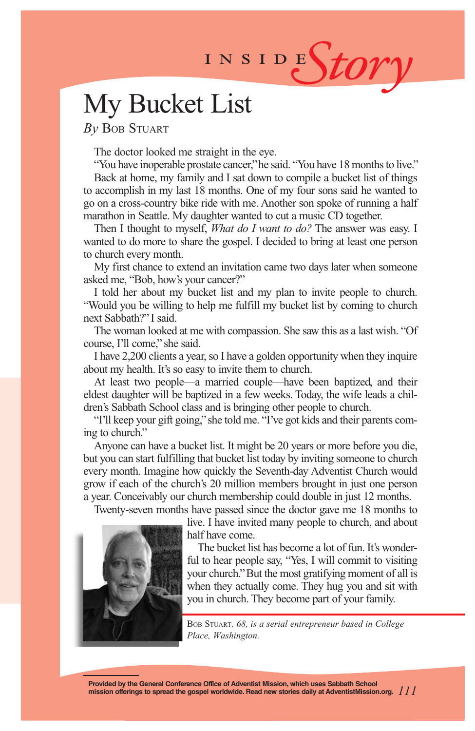# INSIDEStory

## My Bucket List

*By* Bob Stuart

The doctor looked me straight in the eye.

"You have inoperable prostate cancer," he said. "You have 18 months to live." Back at home, my family and I sat down to compile a bucket list of things to accomplish in my last 18 months. One of my four sons said he wanted to go on a cross-country bike ride with me. Another son spoke of running a half marathon in Seattle. My daughter wanted to cut a music CD together.

Then I thought to myself, *What do I want to do?* The answer was easy. I wanted to do more to share the gospel. I decided to bring at least one person to church every month.

My first chance to extend an invitation came two days later when someone asked me, "Bob, how's your cancer?"

I told her about my bucket list and my plan to invite people to church. "Would you be willing to help me fulfill my bucket list by coming to church next Sabbath?" I said.

The woman looked at me with compassion. She saw this as a last wish. "Of course, I'll come," she said.

I have 2,200 clients a year, so I have a golden opportunity when they inquire about my health. It's so easy to invite them to church.

At least two people—a married couple—have been baptized, and their eldest daughter will be baptized in a few weeks. Today, the wife leads a children's Sabbath School class and is bringing other people to church.

"I'll keep your gift going," she told me. "I've got kids and their parents coming to church."

Anyone can have a bucket list. It might be 20 years or more before you die, but you can start fulfilling that bucket list today by inviting someone to church every month. Imagine how quickly the Seventh-day Adventist Church would grow if each of the church's 20 million members brought in just one person a year. Conceivably our church membership could double in just 12 months.

Twenty-seven months have passed since the doctor gave me 18 months to



live. I have invited many people to church, and about half have come.

The bucket list has become a lot of fun. It's wonderful to hear people say, "Yes, I will commit to visiting your church." But the most gratifying moment of all is when they actually come. They hug you and sit with you in church. They become part of your family.

Bob Stuart*, 68, is a serial entrepreneur based in College Place, Washington.*